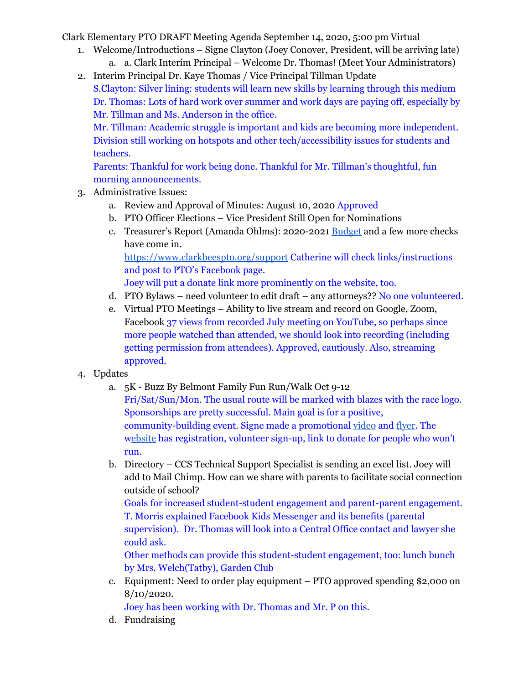Clark Elementary PTO DRAFT Meeting Agenda September 14, 2020, 5:00 pm Virtual

- 1. Welcome/Introductions Signe Clayton (Joey Conover, President, will be arriving late)
	- a. a. Clark Interim Principal Welcome Dr. Thomas! (Meet Your Administrators)

2. Interim Principal Dr. Kaye Thomas / Vice Principal Tillman Update S.Clayton: Silver lining: students will learn new skills by learning through this medium Dr. Thomas: Lots of hard work over summer and work days are paying off, especially by Mr. Tillman and Ms. Anderson in the office.

Mr. Tillman: Academic struggle is important and kids are becoming more independent. Division still working on hotspots and other tech/accessibility issues for students and teachers.

Parents: Thankful for work being done. Thankful for Mr. Tillman's thoughtful, fun morning announcements.

- 3. Administrative Issues:
	- a. Review and Approval of Minutes: August 10, 2020 Approved
	- b. PTO Officer Elections Vice President Still Open for Nominations
	- c. Treasurer's Report (Amanda Ohlms): 2020-2021 [Budget](https://72069fcb-fa6f-46d9-8364-cf3fb644b396.filesusr.com/ugd/13a865_d658e6bc45e14f0a85bd0bdab540782e.pdf) and a few more checks have come in.

<https://www.clarkbeespto.org/support> Catherine will check links/instructions and post to PTO's Facebook page.

Joey will put a donate link more prominently on the website, too.

- d. PTO Bylaws need volunteer to edit draft any attorneys?? No one volunteered.
- e. Virtual PTO Meetings Ability to live stream and record on Google, Zoom, Facebook 37 views from recorded July meeting on YouTube, so perhaps since more people watched than attended, we should look into recording (including getting permission from attendees). Approved, cautiously. Also, streaming approved.
- 4. Updates
	- a. 5K Buzz By Belmont Family Fun Run/Walk Oct 9-12 Fri/Sat/Sun/Mon. The usual route will be marked with blazes with the race logo. Sponsorships are pretty successful. Main goal is for a positive, community-building event. Signe made a promotional [video](https://www.youtube.com/channel/UCYKgW2F4gHVYOJ-igHvrp9g/) and [flyer.](https://72069fcb-fa6f-46d9-8364-cf3fb644b396.filesusr.com/ugd/13a865_27bf207329b9457b9bbb20f60c5b7dec.pdf) The [website](http://charlottesvilleschools.org/clark5k) has registration, volunteer sign-up, link to donate for people who won't run.
	- b. Directory CCS Technical Support Specialist is sending an excel list. Joey will add to Mail Chimp. How can we share with parents to facilitate social connection outside of school?

Goals for increased student-student engagement and parent-parent engagement. T. Morris explained Facebook Kids Messenger and its benefits (parental supervision). Dr. Thomas will look into a Central Office contact and lawyer she could ask.

Other methods can provide this student-student engagement, too: lunch bunch by Mrs. Welch(Tatby), Garden Club

c. Equipment: Need to order play equipment – PTO approved spending \$2,000 on 8/10/2020.

Joey has been working with Dr. Thomas and Mr. P on this.

d. Fundraising